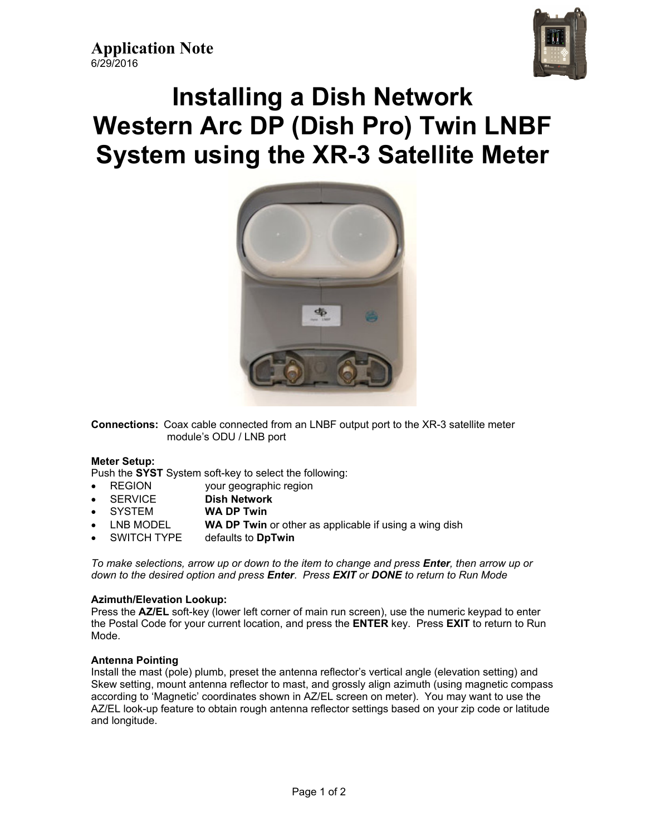

# **Installing a Dish Network Western Arc DP (Dish Pro) Twin LNBF System using the XR-3 Satellite Meter**



**Connections:** Coax cable connected from an LNBF output port to the XR-3 satellite meter module's ODU / LNB port

### **Meter Setup:**

Push the **SYST** System soft-key to select the following:

- REGION your geographic region
- SERVICE **Dish Network**
- SYSTEM **WA DP Twin**
- LNB MODEL **WA DP Twin** or other as applicable if using a wing dish
- SWITCH TYPE defaults to **DpTwin**

*To make selections, arrow up or down to the item to change and press Enter, then arrow up or down to the desired option and press Enter*. *Press EXIT or DONE to return to Run Mode* 

### **Azimuth/Elevation Lookup:**

Press the **AZ/EL** soft-key (lower left corner of main run screen), use the numeric keypad to enter the Postal Code for your current location, and press the **ENTER** key. Press **EXIT** to return to Run Mode.

### **Antenna Pointing**

Install the mast (pole) plumb, preset the antenna reflector's vertical angle (elevation setting) and Skew setting, mount antenna reflector to mast, and grossly align azimuth (using magnetic compass according to 'Magnetic' coordinates shown in AZ/EL screen on meter). You may want to use the AZ/EL look-up feature to obtain rough antenna reflector settings based on your zip code or latitude and longitude.